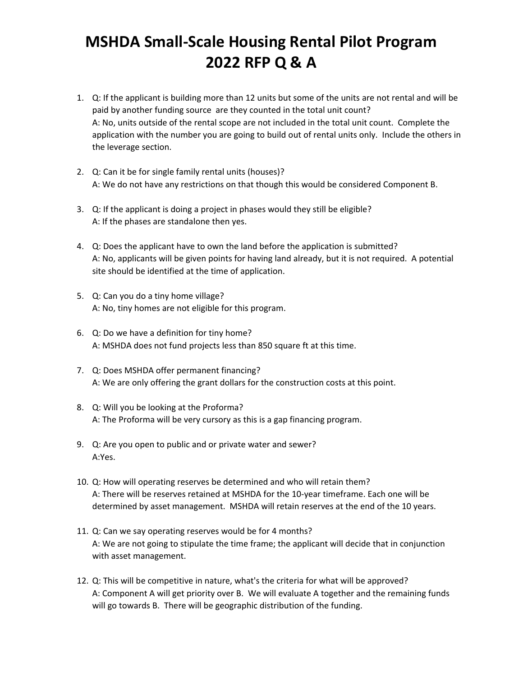## **MSHDA Small-Scale Housing Rental Pilot Program 2022 RFP Q & A**

- 1. Q: If the applicant is building more than 12 units but some of the units are not rental and will be paid by another funding source are they counted in the total unit count? A: No, units outside of the rental scope are not included in the total unit count. Complete the application with the number you are going to build out of rental units only. Include the others in the leverage section.
- 2. Q: Can it be for single family rental units (houses)? A: We do not have any restrictions on that though this would be considered Component B.
- 3. Q: If the applicant is doing a project in phases would they still be eligible? A: If the phases are standalone then yes.
- 4. Q: Does the applicant have to own the land before the application is submitted? A: No, applicants will be given points for having land already, but it is not required. A potential site should be identified at the time of application.
- 5. Q: Can you do a tiny home village? A: No, tiny homes are not eligible for this program.
- 6. Q: Do we have a definition for tiny home? A: MSHDA does not fund projects less than 850 square ft at this time.
- 7. Q: Does MSHDA offer permanent financing? A: We are only offering the grant dollars for the construction costs at this point.
- 8. Q: Will you be looking at the Proforma? A: The Proforma will be very cursory as this is a gap financing program.
- 9. Q: Are you open to public and or private water and sewer? A:Yes.
- 10. Q: How will operating reserves be determined and who will retain them? A: There will be reserves retained at MSHDA for the 10-year timeframe. Each one will be determined by asset management. MSHDA will retain reserves at the end of the 10 years.
- 11. Q: Can we say operating reserves would be for 4 months? A: We are not going to stipulate the time frame; the applicant will decide that in conjunction with asset management.
- 12. Q: This will be competitive in nature, what's the criteria for what will be approved? A: Component A will get priority over B. We will evaluate A together and the remaining funds will go towards B. There will be geographic distribution of the funding.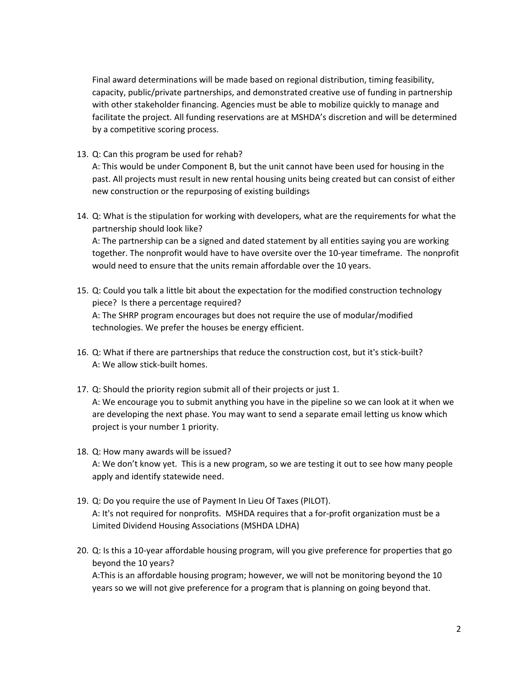Final award determinations will be made based on regional distribution, timing feasibility, capacity, public/private partnerships, and demonstrated creative use of funding in partnership with other stakeholder financing. Agencies must be able to mobilize quickly to manage and facilitate the project. All funding reservations are at MSHDA's discretion and will be determined by a competitive scoring process.

13. Q: Can this program be used for rehab?

A: This would be under Component B, but the unit cannot have been used for housing in the past. All projects must result in new rental housing units being created but can consist of either new construction or the repurposing of existing buildings

14. Q: What is the stipulation for working with developers, what are the requirements for what the partnership should look like?

A: The partnership can be a signed and dated statement by all entities saying you are working together. The nonprofit would have to have oversite over the 10-year timeframe. The nonprofit would need to ensure that the units remain affordable over the 10 years.

- 15. Q: Could you talk a little bit about the expectation for the modified construction technology piece? Is there a percentage required? A: The SHRP program encourages but does not require the use of modular/modified technologies. We prefer the houses be energy efficient.
- 16. Q: What if there are partnerships that reduce the construction cost, but it's stick-built? A: We allow stick-built homes.
- 17. Q: Should the priority region submit all of their projects or just 1. A: We encourage you to submit anything you have in the pipeline so we can look at it when we are developing the next phase. You may want to send a separate email letting us know which project is your number 1 priority.
- 18. Q: How many awards will be issued? A: We don't know yet. This is a new program, so we are testing it out to see how many people apply and identify statewide need.
- 19. Q: Do you require the use of Payment In Lieu Of Taxes (PILOT). A: It's not required for nonprofits. MSHDA requires that a for-profit organization must be a Limited Dividend Housing Associations (MSHDA LDHA)
- 20. Q: Is this a 10-year affordable housing program, will you give preference for properties that go beyond the 10 years?

A:This is an affordable housing program; however, we will not be monitoring beyond the 10 years so we will not give preference for a program that is planning on going beyond that.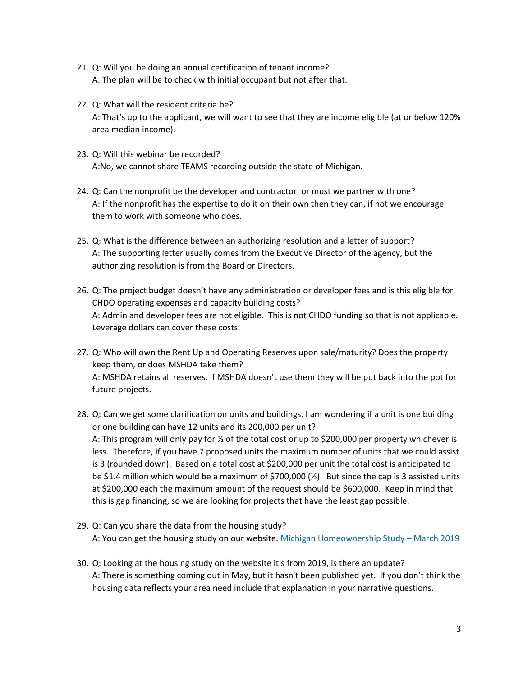- 21. Q: Will you be doing an annual certification of tenant income? A: The plan will be to check with initial occupant but not after that.
- 22. Q: What will the resident criteria be? A: That's up to the applicant, we will want to see that they are income eligible (at or below 120% area median income).
- 23. Q: Will this webinar be recorded? A:No, we cannot share TEAMS recording outside the state of Michigan.
- 24. Q: Can the nonprofit be the developer and contractor, or must we partner with one? A: If the nonprofit has the expertise to do it on their own then they can, if not we encourage them to work with someone who does.
- 25. Q: What is the difference between an authorizing resolution and a letter of support? A: The supporting letter usually comes from the Executive Director of the agency, but the authorizing resolution is from the Board or Directors.
- 26. Q: The project budget doesn't have any administration or developer fees and is this eligible for CHDO operating expenses and capacity building costs? A: Admin and developer fees are not eligible. This is not CHDO funding so that is not applicable. Leverage dollars can cover these costs.
- 27. Q: Who will own the Rent Up and Operating Reserves upon sale/maturity? Does the property keep them, or does MSHDA take them? A: MSHDA retains all reserves, if MSHDA doesn't use them they will be put back into the pot for future projects.
- 28. Q: Can we get some clarification on units and buildings. I am wondering if a unit is one building or one building can have 12 units and its 200,000 per unit? A: This program will only pay for ½ of the total cost or up to \$200,000 per property whichever is less. Therefore, if you have 7 proposed units the maximum number of units that we could assist is 3 (rounded down). Based on a total cost at \$200,000 per unit the total cost is anticipated to be \$1.4 million which would be a maximum of \$700,000  $\frac{1}{2}$ . But since the cap is 3 assisted units at \$200,000 each the maximum amount of the request should be \$600,000. Keep in mind that this is gap financing, so we are looking for projects that have the least gap possible.
- 29. Q: Can you share the data from the housing study? A: You can get the housing study on our website. [Michigan Homeownership Study](https://www.michigan.gov/mshda/-/media/Project/Websites/mshda/developers/housing-plan/MSHDAMichiganHomeownershipStudyFINAL.pdf?rev=ceb725310abc47adbdeea0694a7b0826&hash=30FC51246B66983CC6001E7C2B2447F2) – March 2019
- 30. Q: Looking at the housing study on the website it's from 2019, is there an update? A: There is something coming out in May, but it hasn't been published yet. If you don't think the housing data reflects your area need include that explanation in your narrative questions.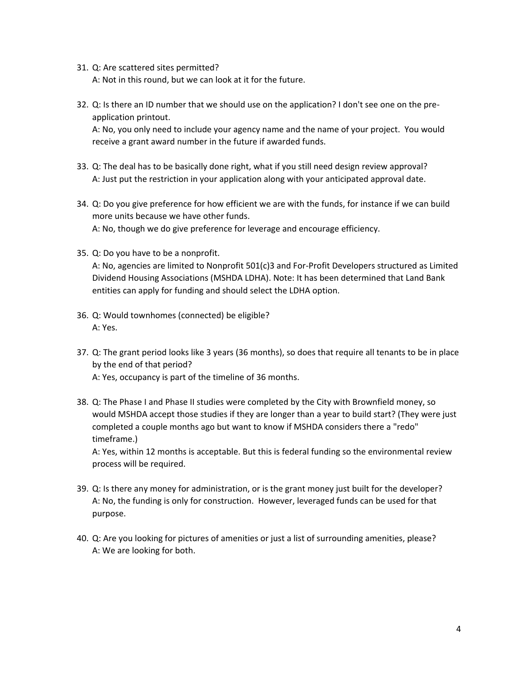31. Q: Are scattered sites permitted?

A: Not in this round, but we can look at it for the future.

32. Q: Is there an ID number that we should use on the application? I don't see one on the preapplication printout.

A: No, you only need to include your agency name and the name of your project. You would receive a grant award number in the future if awarded funds.

- 33. Q: The deal has to be basically done right, what if you still need design review approval? A: Just put the restriction in your application along with your anticipated approval date.
- 34. Q: Do you give preference for how efficient we are with the funds, for instance if we can build more units because we have other funds. A: No, though we do give preference for leverage and encourage efficiency.
- 35. Q: Do you have to be a nonprofit.

A: No, agencies are limited to Nonprofit 501(c)3 and For-Profit Developers structured as Limited Dividend Housing Associations (MSHDA LDHA). Note: It has been determined that Land Bank entities can apply for funding and should select the LDHA option.

- 36. Q: Would townhomes (connected) be eligible? A: Yes.
- 37. Q: The grant period looks like 3 years (36 months), so does that require all tenants to be in place by the end of that period? A: Yes, occupancy is part of the timeline of 36 months.
- 38. Q: The Phase I and Phase II studies were completed by the City with Brownfield money, so would MSHDA accept those studies if they are longer than a year to build start? (They were just completed a couple months ago but want to know if MSHDA considers there a "redo" timeframe.)

A: Yes, within 12 months is acceptable. But this is federal funding so the environmental review process will be required.

- 39. Q: Is there any money for administration, or is the grant money just built for the developer? A: No, the funding is only for construction. However, leveraged funds can be used for that purpose.
- 40. Q: Are you looking for pictures of amenities or just a list of surrounding amenities, please? A: We are looking for both.